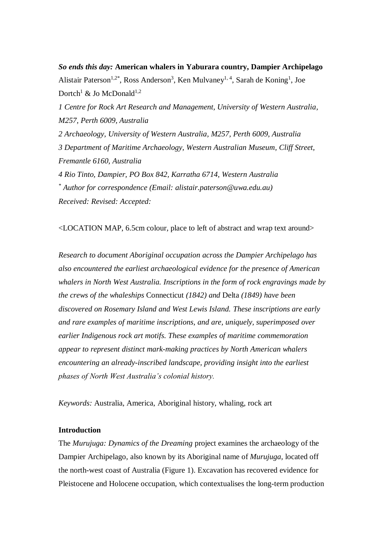*So ends this day:* **American whalers in Yaburara country, Dampier Archipelago** Alistair Paterson<sup>1,2\*</sup>, Ross Anderson<sup>3</sup>, Ken Mulvaney<sup>1, 4</sup>, Sarah de Koning<sup>1</sup>, Joe Dortch<sup>1</sup> & Jo McDonald<sup>1,2</sup> *1 Centre for Rock Art Research and Management, University of Western Australia, M257, Perth 6009, Australia 2 Archaeology, University of Western Australia, M257, Perth 6009, Australia 3 Department of Maritime Archaeology, Western Australian Museum, Cliff Street, Fremantle 6160, Australia 4 Rio Tinto, Dampier, PO Box 842, Karratha 6714, Western Australia \* Author for correspondence (Email: alistair.paterson@uwa.edu.au) Received: Revised: Accepted:*

<LOCATION MAP, 6.5cm colour, place to left of abstract and wrap text around>

*Research to document Aboriginal occupation across the Dampier Archipelago has also encountered the earliest archaeological evidence for the presence of American whalers in North West Australia. Inscriptions in the form of rock engravings made by the crews of the whaleships* Connecticut *(1842) and* Delta *(1849) have been discovered on Rosemary Island and West Lewis Island. These inscriptions are early and rare examples of maritime inscriptions, and are, uniquely, superimposed over earlier Indigenous rock art motifs. These examples of maritime commemoration appear to represent distinct mark-making practices by North American whalers encountering an already-inscribed landscape, providing insight into the earliest phases of North West Australia's colonial history.*

*Keywords:* Australia, America, Aboriginal history, whaling, rock art

# **Introduction**

The *Murujuga: Dynamics of the Dreaming* project examines the archaeology of the Dampier Archipelago, also known by its Aboriginal name of *Murujuga,* located off the north-west coast of Australia (Figure 1). Excavation has recovered evidence for Pleistocene and Holocene occupation, which contextualises the long-term production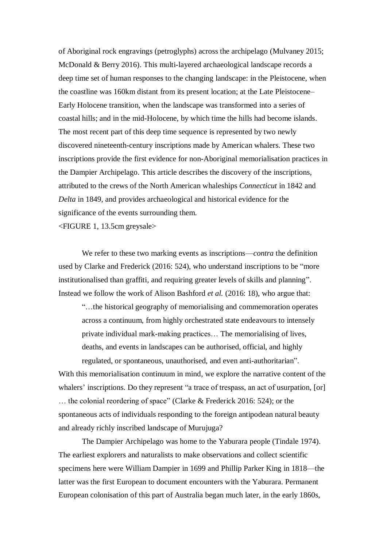of Aboriginal rock engravings (petroglyphs) across the archipelago (Mulvaney 2015; McDonald & Berry 2016). This multi-layered archaeological landscape records a deep time set of human responses to the changing landscape: in the Pleistocene, when the coastline was 160km distant from its present location; at the Late Pleistocene– Early Holocene transition, when the landscape was transformed into a series of coastal hills; and in the mid-Holocene, by which time the hills had become islands. The most recent part of this deep time sequence is represented by two newly discovered nineteenth-century inscriptions made by American whalers. These two inscriptions provide the first evidence for non-Aboriginal memorialisation practices in the Dampier Archipelago. This article describes the discovery of the inscriptions, attributed to the crews of the North American whaleships *Connecticut* in 1842 and *Delta* in 1849, and provides archaeological and historical evidence for the significance of the events surrounding them.

<FIGURE 1, 13.5cm greysale>

We refer to these two marking events as inscriptions—*contra* the definition used by Clarke and Frederick (2016: 524), who understand inscriptions to be "more institutionalised than graffiti, and requiring greater levels of skills and planning". Instead we follow the work of Alison Bashford *et al.* (2016: 18), who argue that:

"…the historical geography of memorialising and commemoration operates across a continuum, from highly orchestrated state endeavours to intensely private individual mark-making practices… The memorialising of lives, deaths, and events in landscapes can be authorised, official, and highly regulated, or spontaneous, unauthorised, and even anti-authoritarian".

With this memorialisation continuum in mind, we explore the narrative content of the whalers' inscriptions. Do they represent "a trace of trespass, an act of usurpation, [or] … the colonial reordering of space" (Clarke & Frederick 2016: 524); or the spontaneous acts of individuals responding to the foreign antipodean natural beauty and already richly inscribed landscape of Murujuga?

The Dampier Archipelago was home to the Yaburara people (Tindale 1974). The earliest explorers and naturalists to make observations and collect scientific specimens here were William Dampier in 1699 and Phillip Parker King in 1818—the latter was the first European to document encounters with the Yaburara. Permanent European colonisation of this part of Australia began much later, in the early 1860s,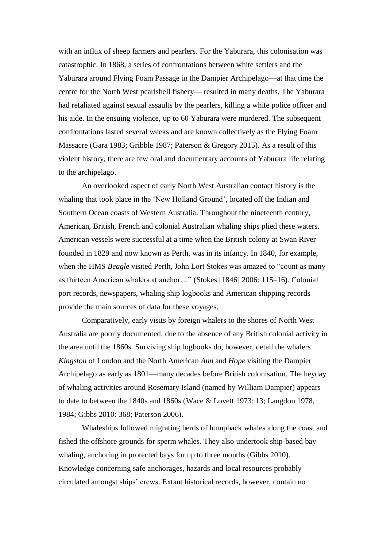with an influx of sheep farmers and pearlers. For the Yaburara, this colonisation was catastrophic. In 1868, a series of confrontations between white settlers and the Yaburara around Flying Foam Passage in the Dampier Archipelago—at that time the centre for the North West pearlshell fishery— resulted in many deaths. The Yaburara had retaliated against sexual assaults by the pearlers, killing a white police officer and his aide. In the ensuing violence, up to 60 Yaburara were murdered. The subsequent confrontations lasted several weeks and are known collectively as the Flying Foam Massacre (Gara 1983; Gribble 1987; Paterson & Gregory 2015). As a result of this violent history, there are few oral and documentary accounts of Yaburara life relating to the archipelago.

An overlooked aspect of early North West Australian contact history is the whaling that took place in the 'New Holland Ground', located off the Indian and Southern Ocean coasts of Western Australia. Throughout the nineteenth century, American, British, French and colonial Australian whaling ships plied these waters. American vessels were successful at a time when the British colony at Swan River founded in 1829 and now known as Perth, was in its infancy. In 1840, for example, when the HMS *Beagle* visited Perth, John Lort Stokes was amazed to "count as many as thirteen American whalers at anchor…" (Stokes [1846] 2006: 115–16). Colonial port records, newspapers, whaling ship logbooks and American shipping records provide the main sources of data for these voyages.

Comparatively, early visits by foreign whalers to the shores of North West Australia are poorly documented, due to the absence of any British colonial activity in the area until the 1860s. Surviving ship logbooks do, however, detail the whalers *Kingston* of London and the North American *Ann* and *Hope* visiting the Dampier Archipelago as early as 1801—many decades before British colonisation. The heyday of whaling activities around Rosemary Island (named by William Dampier) appears to date to between the 1840s and 1860s (Wace & Lovett 1973: 13; Langdon 1978, 1984; Gibbs 2010: 368; Paterson 2006).

Whaleships followed migrating herds of humpback whales along the coast and fished the offshore grounds for sperm whales. They also undertook ship-based bay whaling, anchoring in protected bays for up to three months (Gibbs 2010). Knowledge concerning safe anchorages, hazards and local resources probably circulated amongst ships' crews. Extant historical records, however, contain no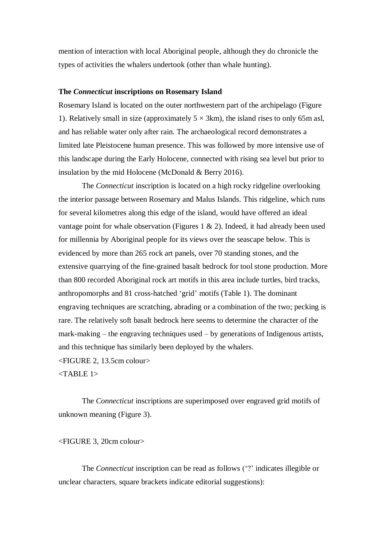mention of interaction with local Aboriginal people, although they do chronicle the types of activities the whalers undertook (other than whale hunting).

# **The** *Connecticut* **inscriptions on Rosemary Island**

Rosemary Island is located on the outer northwestern part of the archipelago (Figure 1). Relatively small in size (approximately  $5 \times 3$ km), the island rises to only 65m asl, and has reliable water only after rain. The archaeological record demonstrates a limited late Pleistocene human presence. This was followed by more intensive use of this landscape during the Early Holocene, connected with rising sea level but prior to insulation by the mid Holocene (McDonald & Berry 2016).

The *Connecticut* inscription is located on a high rocky ridgeline overlooking the interior passage between Rosemary and Malus Islands. This ridgeline, which runs for several kilometres along this edge of the island, would have offered an ideal vantage point for whale observation (Figures 1 & 2). Indeed, it had already been used for millennia by Aboriginal people for its views over the seascape below. This is evidenced by more than 265 rock art panels, over 70 standing stones, and the extensive quarrying of the fine-grained basalt bedrock for tool stone production. More than 800 recorded Aboriginal rock art motifs in this area include turtles, bird tracks, anthropomorphs and 81 cross-hatched 'grid' motifs (Table 1). The dominant engraving techniques are scratching, abrading or a combination of the two; pecking is rare. The relatively soft basalt bedrock here seems to determine the character of the mark-making – the engraving techniques used – by generations of Indigenous artists, and this technique has similarly been deployed by the whalers.

<FIGURE 2, 13.5cm colour>

 $<$ TABLE 1 $>$ 

The *Connecticut* inscriptions are superimposed over engraved grid motifs of unknown meaning (Figure 3).

# <FIGURE 3, 20cm colour>

The *Connecticut* inscription can be read as follows ('?' indicates illegible or unclear characters, square brackets indicate editorial suggestions):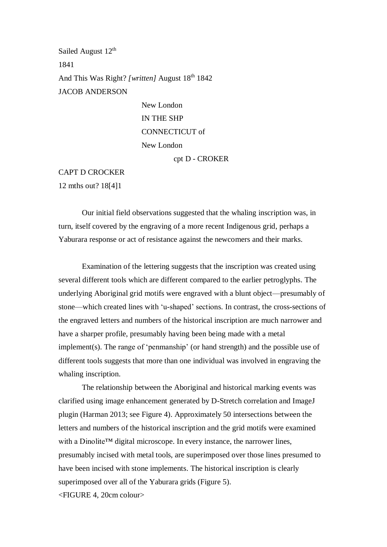Sailed August 12<sup>th</sup> 1841 And This Was Right? [written] August 18<sup>th</sup> 1842 JACOB ANDERSON

> New London IN THE SHP CONNECTICUT of New London cpt D - CROKER

CAPT D CROCKER

12 mths out? 18[4]1

Our initial field observations suggested that the whaling inscription was, in turn, itself covered by the engraving of a more recent Indigenous grid, perhaps a Yaburara response or act of resistance against the newcomers and their marks.

Examination of the lettering suggests that the inscription was created using several different tools which are different compared to the earlier petroglyphs. The underlying Aboriginal grid motifs were engraved with a blunt object—presumably of stone—which created lines with 'u-shaped' sections. In contrast, the cross-sections of the engraved letters and numbers of the historical inscription are much narrower and have a sharper profile, presumably having been being made with a metal implement(s). The range of 'penmanship' (or hand strength) and the possible use of different tools suggests that more than one individual was involved in engraving the whaling inscription.

The relationship between the Aboriginal and historical marking events was clarified using image enhancement generated by D-Stretch correlation and ImageJ plugin (Harman 2013; see Figure 4). Approximately 50 intersections between the letters and numbers of the historical inscription and the grid motifs were examined with a Dinolite™ digital microscope. In every instance, the narrower lines, presumably incised with metal tools, are superimposed over those lines presumed to have been incised with stone implements. The historical inscription is clearly superimposed over all of the Yaburara grids (Figure 5). <FIGURE 4, 20cm colour>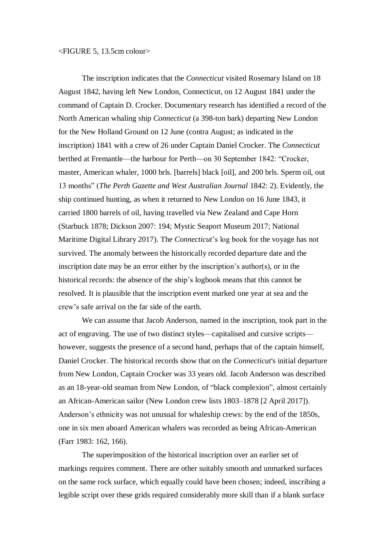### <FIGURE 5, 13.5cm colour>

The inscription indicates that the *Connecticut* visited Rosemary Island on 18 August 1842, having left New London, Connecticut, on 12 August 1841 under the command of Captain D. Crocker. Documentary research has identified a record of the North American whaling ship *Connecticut* (a 398-ton bark) departing New London for the New Holland Ground on 12 June (contra August; as indicated in the inscription) 1841 with a crew of 26 under Captain Daniel Crocker. The *Connecticut* berthed at Fremantle—the harbour for Perth—on 30 September 1842: "Crocker, master, American whaler, 1000 brls. [barrels] black [oil], and 200 brls. Sperm oil, out 13 months" (*The Perth Gazette and West Australian Journal* 1842: 2). Evidently, the ship continued hunting, as when it returned to New London on 16 June 1843, it carried 1800 barrels of oil, having travelled via New Zealand and Cape Horn (Starbuck 1878; Dickson 2007: 194; Mystic Seaport Museum 2017; National Maritime Digital Library 2017). The *Connecticut*'s log book for the voyage has not survived. The anomaly between the historically recorded departure date and the inscription date may be an error either by the inscription's author(s), or in the historical records: the absence of the ship's logbook means that this cannot be resolved. It is plausible that the inscription event marked one year at sea and the crew's safe arrival on the far side of the earth.

We can assume that Jacob Anderson, named in the inscription, took part in the act of engraving. The use of two distinct styles—capitalised and cursive scripts however, suggests the presence of a second hand, perhaps that of the captain himself, Daniel Crocker. The historical records show that on the *Connecticut*'s initial departure from New London, Captain Crocker was 33 years old. Jacob Anderson was described as an 18-year-old seaman from New London, of "black complexion", almost certainly an African-American sailor (New London crew lists 1803–1878 [2 April 2017]). Anderson's ethnicity was not unusual for whaleship crews: by the end of the 1850s, one in six men aboard American whalers was recorded as being African-American (Farr 1983: 162, 166).

The superimposition of the historical inscription over an earlier set of markings requires comment. There are other suitably smooth and unmarked surfaces on the same rock surface, which equally could have been chosen; indeed, inscribing a legible script over these grids required considerably more skill than if a blank surface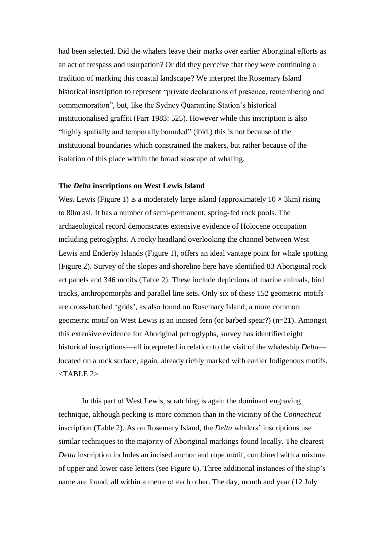had been selected. Did the whalers leave their marks over earlier Aboriginal efforts as an act of trespass and usurpation? Or did they perceive that they were continuing a tradition of marking this coastal landscape? We interpret the Rosemary Island historical inscription to represent "private declarations of presence, remembering and commemoration", but, like the Sydney Quarantine Station's historical institutionalised graffiti (Farr 1983: 525). However while this inscription is also "highly spatially and temporally bounded" (ibid.) this is not because of the institutional boundaries which constrained the makers, but rather because of the isolation of this place within the broad seascape of whaling.

# **The** *Delta* **inscriptions on West Lewis Island**

West Lewis (Figure 1) is a moderately large island (approximately  $10 \times 3$ km) rising to 80m asl. It has a number of semi-permanent, spring-fed rock pools. The archaeological record demonstrates extensive evidence of Holocene occupation including petroglyphs. A rocky headland overlooking the channel between West Lewis and Enderby Islands (Figure 1), offers an ideal vantage point for whale spotting (Figure 2). Survey of the slopes and shoreline here have identified 83 Aboriginal rock art panels and 346 motifs (Table 2). These include depictions of marine animals, bird tracks, anthropomorphs and parallel line sets. Only six of these 152 geometric motifs are cross-hatched 'grids', as also found on Rosemary Island; a more common geometric motif on West Lewis is an incised fern (or barbed spear?) (n=21). Amongst this extensive evidence for Aboriginal petroglyphs, survey has identified eight historical inscriptions—all interpreted in relation to the visit of the whaleship *Delta* located on a rock surface, again, already richly marked with earlier Indigenous motifs.  $\angle$ TABLE 2>

In this part of West Lewis, scratching is again the dominant engraving technique, although pecking is more common than in the vicinity of the *Connecticut*  inscription (Table 2). As on Rosemary Island, the *Delta* whalers' inscriptions use similar techniques to the majority of Aboriginal markings found locally. The clearest *Delta* inscription includes an incised anchor and rope motif, combined with a mixture of upper and lower case letters (see Figure 6). Three additional instances of the ship's name are found, all within a metre of each other. The day, month and year (12 July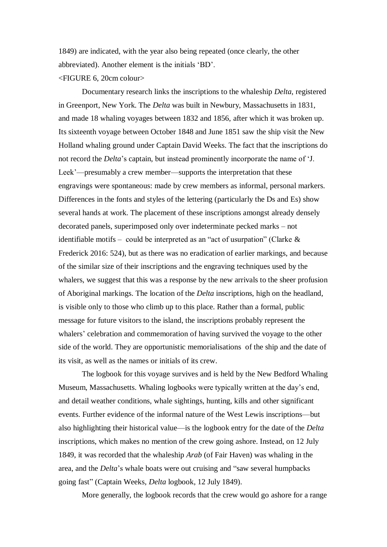1849) are indicated, with the year also being repeated (once clearly, the other abbreviated). Another element is the initials 'BD'.

#### <FIGURE 6, 20cm colour>

Documentary research links the inscriptions to the whaleship *Delta*, registered in Greenport, New York. The *Delta* was built in Newbury, Massachusetts in 1831, and made 18 whaling voyages between 1832 and 1856, after which it was broken up. Its sixteenth voyage between October 1848 and June 1851 saw the ship visit the New Holland whaling ground under Captain David Weeks. The fact that the inscriptions do not record the *Delta*'s captain, but instead prominently incorporate the name of 'J. Leek'—presumably a crew member—supports the interpretation that these engravings were spontaneous: made by crew members as informal, personal markers. Differences in the fonts and styles of the lettering (particularly the Ds and Es) show several hands at work. The placement of these inscriptions amongst already densely decorated panels, superimposed only over indeterminate pecked marks – not identifiable motifs – could be interpreted as an "act of usurpation" (Clarke  $\&$ Frederick 2016: 524), but as there was no eradication of earlier markings, and because of the similar size of their inscriptions and the engraving techniques used by the whalers, we suggest that this was a response by the new arrivals to the sheer profusion of Aboriginal markings. The location of the *Delta* inscriptions, high on the headland, is visible only to those who climb up to this place. Rather than a formal, public message for future visitors to the island, the inscriptions probably represent the whalers' celebration and commemoration of having survived the voyage to the other side of the world. They are opportunistic memorialisations of the ship and the date of its visit, as well as the names or initials of its crew.

The logbook for this voyage survives and is held by the New Bedford Whaling Museum, Massachusetts. Whaling logbooks were typically written at the day's end, and detail weather conditions, whale sightings, hunting, kills and other significant events. Further evidence of the informal nature of the West Lewis inscriptions—but also highlighting their historical value—is the logbook entry for the date of the *Delta* inscriptions, which makes no mention of the crew going ashore. Instead, on 12 July 1849, it was recorded that the whaleship *Arab* (of Fair Haven) was whaling in the area, and the *Delta*'s whale boats were out cruising and "saw several humpbacks going fast" (Captain Weeks, *Delta* logbook, 12 July 1849).

More generally, the logbook records that the crew would go ashore for a range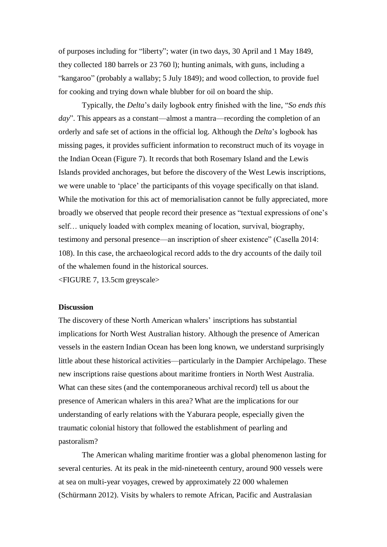of purposes including for "liberty"; water (in two days, 30 April and 1 May 1849, they collected 180 barrels or 23 760 l); hunting animals, with guns, including a "kangaroo" (probably a wallaby; 5 July 1849); and wood collection, to provide fuel for cooking and trying down whale blubber for oil on board the ship.

Typically, the *Delta*'s daily logbook entry finished with the line, "*So ends this day*". This appears as a constant—almost a mantra—recording the completion of an orderly and safe set of actions in the official log. Although the *Delta*'s logbook has missing pages, it provides sufficient information to reconstruct much of its voyage in the Indian Ocean (Figure 7). It records that both Rosemary Island and the Lewis Islands provided anchorages, but before the discovery of the West Lewis inscriptions, we were unable to 'place' the participants of this voyage specifically on that island. While the motivation for this act of memorialisation cannot be fully appreciated, more broadly we observed that people record their presence as "textual expressions of one's self… uniquely loaded with complex meaning of location, survival, biography, testimony and personal presence—an inscription of sheer existence" (Casella 2014: 108). In this case, the archaeological record adds to the dry accounts of the daily toil of the whalemen found in the historical sources.

<FIGURE 7, 13.5cm greyscale>

#### **Discussion**

The discovery of these North American whalers' inscriptions has substantial implications for North West Australian history. Although the presence of American vessels in the eastern Indian Ocean has been long known, we understand surprisingly little about these historical activities—particularly in the Dampier Archipelago. These new inscriptions raise questions about maritime frontiers in North West Australia. What can these sites (and the contemporaneous archival record) tell us about the presence of American whalers in this area? What are the implications for our understanding of early relations with the Yaburara people, especially given the traumatic colonial history that followed the establishment of pearling and pastoralism?

The American whaling maritime frontier was a global phenomenon lasting for several centuries. At its peak in the mid-nineteenth century, around 900 vessels were at sea on multi-year voyages, crewed by approximately 22 000 whalemen (Schürmann 2012). Visits by whalers to remote African, Pacific and Australasian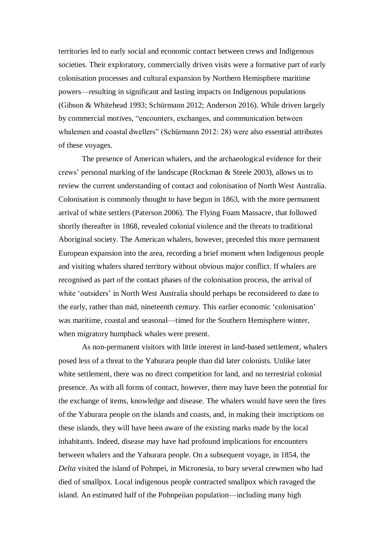territories led to early social and economic contact between crews and Indigenous societies. Their exploratory, commercially driven visits were a formative part of early colonisation processes and cultural expansion by Northern Hemisphere maritime powers—resulting in significant and lasting impacts on Indigenous populations (Gibson & Whitehead 1993; Schürmann 2012; Anderson 2016). While driven largely by commercial motives, "encounters, exchanges, and communication between whalemen and coastal dwellers" (Schürmann 2012: 28) were also essential attributes of these voyages.

The presence of American whalers, and the archaeological evidence for their crews' personal marking of the landscape (Rockman & Steele 2003), allows us to review the current understanding of contact and colonisation of North West Australia. Colonisation is commonly thought to have begun in 1863, with the more permanent arrival of white settlers (Paterson 2006). The Flying Foam Massacre, that followed shortly thereafter in 1868, revealed colonial violence and the threats to traditional Aboriginal society. The American whalers, however, preceded this more permanent European expansion into the area, recording a brief moment when Indigenous people and visiting whalers shared territory without obvious major conflict. If whalers are recognised as part of the contact phases of the colonisation process, the arrival of white 'outsiders' in North West Australia should perhaps be reconsidered to date to the early, rather than mid, nineteenth century. This earlier economic 'colonisation' was maritime, coastal and seasonal—timed for the Southern Hemisphere winter, when migratory humpback whales were present.

As non-permanent visitors with little interest in land-based settlement, whalers posed less of a threat to the Yaburara people than did later colonists. Unlike later white settlement, there was no direct competition for land, and no terrestrial colonial presence. As with all forms of contact, however, there may have been the potential for the exchange of items, knowledge and disease. The whalers would have seen the fires of the Yaburara people on the islands and coasts, and, in making their inscriptions on these islands, they will have been aware of the existing marks made by the local inhabitants. Indeed, disease may have had profound implications for encounters between whalers and the Yaburara people. On a subsequent voyage, in 1854, the *Delta* visited the island of Pohnpei, in Micronesia, to bury several crewmen who had died of smallpox. Local indigenous people contracted smallpox which ravaged the island. An estimated half of the Pohnpeiian population—including many high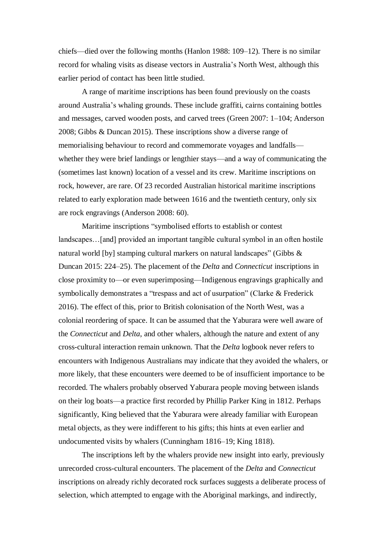chiefs—died over the following months (Hanlon 1988: 109–12). There is no similar record for whaling visits as disease vectors in Australia's North West, although this earlier period of contact has been little studied.

A range of maritime inscriptions has been found previously on the coasts around Australia's whaling grounds. These include graffiti, cairns containing bottles and messages, carved wooden posts, and carved trees (Green 2007: 1–104; Anderson 2008; Gibbs & Duncan 2015). These inscriptions show a diverse range of memorialising behaviour to record and commemorate voyages and landfalls whether they were brief landings or lengthier stays—and a way of communicating the (sometimes last known) location of a vessel and its crew. Maritime inscriptions on rock, however, are rare. Of 23 recorded Australian historical maritime inscriptions related to early exploration made between 1616 and the twentieth century, only six are rock engravings (Anderson 2008: 60).

Maritime inscriptions "symbolised efforts to establish or contest landscapes…[and] provided an important tangible cultural symbol in an often hostile natural world [by] stamping cultural markers on natural landscapes" (Gibbs & Duncan 2015: 224–25). The placement of the *Delta* and *Connecticut* inscriptions in close proximity to—or even superimposing—Indigenous engravings graphically and symbolically demonstrates a "trespass and act of usurpation" (Clarke & Frederick 2016). The effect of this, prior to British colonisation of the North West, was a colonial reordering of space. It can be assumed that the Yaburara were well aware of the *Connecticut* and *Delta*, and other whalers, although the nature and extent of any cross-cultural interaction remain unknown. That the *Delta* logbook never refers to encounters with Indigenous Australians may indicate that they avoided the whalers, or more likely, that these encounters were deemed to be of insufficient importance to be recorded. The whalers probably observed Yaburara people moving between islands on their log boats—a practice first recorded by Phillip Parker King in 1812. Perhaps significantly, King believed that the Yaburara were already familiar with European metal objects, as they were indifferent to his gifts; this hints at even earlier and undocumented visits by whalers (Cunningham 1816–19; King 1818).

The inscriptions left by the whalers provide new insight into early, previously unrecorded cross-cultural encounters. The placement of the *Delta* and *Connecticut* inscriptions on already richly decorated rock surfaces suggests a deliberate process of selection, which attempted to engage with the Aboriginal markings, and indirectly,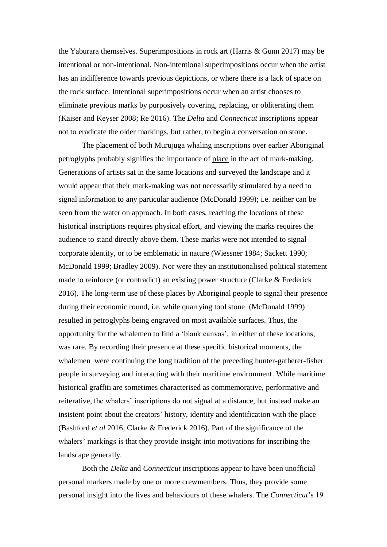the Yaburara themselves. Superimpositions in rock art (Harris & Gunn 2017) may be intentional or non-intentional. Non-intentional superimpositions occur when the artist has an indifference towards previous depictions, or where there is a lack of space on the rock surface. Intentional superimpositions occur when an artist chooses to eliminate previous marks by purposively covering, replacing, or obliterating them (Kaiser and Keyser 2008; Re 2016). The *Delta* and *Connecticut* inscriptions appear not to eradicate the older markings, but rather, to begin a conversation on stone.

The placement of both Murujuga whaling inscriptions over earlier Aboriginal petroglyphs probably signifies the importance of place in the act of mark-making. Generations of artists sat in the same locations and surveyed the landscape and it would appear that their mark-making was not necessarily stimulated by a need to signal information to any particular audience (McDonald 1999); i.e. neither can be seen from the water on approach. In both cases, reaching the locations of these historical inscriptions requires physical effort, and viewing the marks requires the audience to stand directly above them. These marks were not intended to signal corporate identity, or to be emblematic in nature (Wiessner 1984; Sackett 1990; McDonald 1999; Bradley 2009). Nor were they an institutionalised political statement made to reinforce (or contradict) an existing power structure (Clarke & Frederick 2016). The long-term use of these places by Aboriginal people to signal their presence during their economic round, i.e. while quarrying tool stone (McDonald 1999) resulted in petroglyphs being engraved on most available surfaces. Thus, the opportunity for the whalemen to find a 'blank canvas', in either of these locations, was rare. By recording their presence at these specific historical moments, the whalemen were continuing the long tradition of the preceding hunter-gatherer-fisher people in surveying and interacting with their maritime environment. While maritime historical graffiti are sometimes characterised as commemorative, performative and reiterative, the whalers' inscriptions do not signal at a distance, but instead make an insistent point about the creators' history, identity and identification with the place (Bashford *et al* 2016; Clarke & Frederick 2016). Part of the significance of the whalers' markings is that they provide insight into motivations for inscribing the landscape generally.

Both the *Delta* and *Connecticut* inscriptions appear to have been unofficial personal markers made by one or more crewmembers. Thus, they provide some personal insight into the lives and behaviours of these whalers. The *Connecticut*'s 19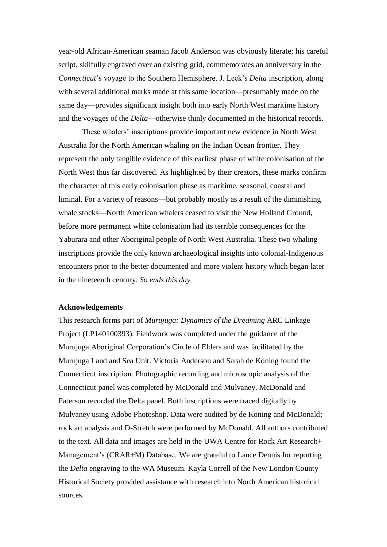year-old African-American seaman Jacob Anderson was obviously literate; his careful script, skilfully engraved over an existing grid, commemorates an anniversary in the *Connecticut*'s voyage to the Southern Hemisphere. J. Leek's *Delta* inscription, along with several additional marks made at this same location—presumably made on the same day—provides significant insight both into early North West maritime history and the voyages of the *Delta*—otherwise thinly documented in the historical records.

These whalers' inscriptions provide important new evidence in North West Australia for the North American whaling on the Indian Ocean frontier. They represent the only tangible evidence of this earliest phase of white colonisation of the North West thus far discovered. As highlighted by their creators, these marks confirm the character of this early colonisation phase as maritime, seasonal, coastal and liminal. For a variety of reasons—but probably mostly as a result of the diminishing whale stocks—North American whalers ceased to visit the New Holland Ground, before more permanent white colonisation had its terrible consequences for the Yaburara and other Aboriginal people of North West Australia. These two whaling inscriptions provide the only known archaeological insights into colonial-Indigenous encounters prior to the better documented and more violent history which began later in the nineteenth century. *So ends this day.*

## **Acknowledgements**

This research forms part of *Murujuga: Dynamics of the Dreaming* ARC Linkage Project (LP140100393). Fieldwork was completed under the guidance of the Murujuga Aboriginal Corporation's Circle of Elders and was facilitated by the Murujuga Land and Sea Unit. Victoria Anderson and Sarah de Koning found the Connecticut inscription. Photographic recording and microscopic analysis of the Connecticut panel was completed by McDonald and Mulvaney. McDonald and Paterson recorded the Delta panel. Both inscriptions were traced digitally by Mulvaney using Adobe Photoshop. Data were audited by de Koning and McDonald; rock art analysis and D-Stretch were performed by McDonald. All authors contributed to the text. All data and images are held in the UWA Centre for Rock Art Research+ Management's (CRAR+M) Database. We are grateful to Lance Dennis for reporting the *Delta* engraving to the WA Museum. Kayla Correll of the New London County Historical Society provided assistance with research into North American historical sources.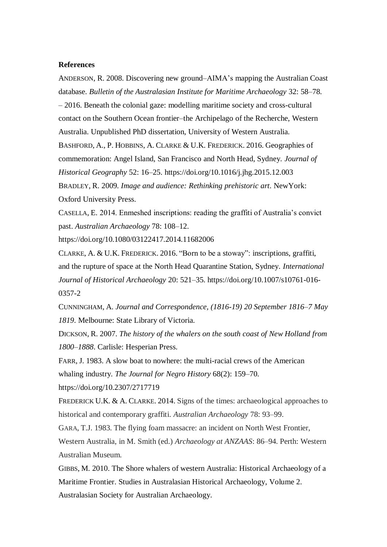## **References**

ANDERSON, R. 2008. Discovering new ground–AIMA's mapping the Australian Coast database. *Bulletin of the Australasian Institute for Maritime Archaeology* 32: 58–78. – 2016. Beneath the colonial gaze: modelling maritime society and cross-cultural contact on the Southern Ocean frontier–the Archipelago of the Recherche, Western Australia. Unpublished PhD dissertation, University of Western Australia. BASHFORD, A., P. HOBBINS, A. CLARKE & U.K. FREDERICK. 2016. Geographies of commemoration: Angel Island, San Francisco and North Head, Sydney. *Journal of Historical Geography* 52: 16–25. https://doi.org/10.1016/j.jhg.2015.12.003 BRADLEY, R. 2009. *Image and audience: Rethinking prehistoric art*. NewYork: Oxford University Press.

CASELLA, E. 2014. Enmeshed inscriptions: reading the graffiti of Australia's convict past. *Australian Archaeology* 78: 108–12.

https://doi.org/10.1080/03122417.2014.11682006

CLARKE, A. & U.K. FREDERICK. 2016. "Born to be a stoway": inscriptions, graffiti, and the rupture of space at the North Head Quarantine Station, Sydney. *International Journal of Historical Archaeology* 20: 521–35. https://doi.org/10.1007/s10761-016- 0357-2

CUNNINGHAM, A. *Journal and Correspondence, (1816-19) 20 September 1816–7 May 1819*. Melbourne: State Library of Victoria.

DICKSON, R. 2007. *The history of the whalers on the south coast of New Holland from 1800–1888*. Carlisle: Hesperian Press.

FARR, J. 1983. A slow boat to nowhere: the multi-racial crews of the American whaling industry. *The Journal for Negro History* 68(2): 159–70.

https://doi.org/10.2307/2717719

FREDERICK U.K. & A. CLARKE. 2014. Signs of the times: archaeological approaches to historical and contemporary graffiti. *Australian Archaeology* 78: 93–99.

GARA, T.J. 1983. The flying foam massacre: an incident on North West Frontier,

Western Australia, in M. Smith (ed.) *Archaeology at ANZAAS*: 86–94. Perth: Western Australian Museum.

GIBBS, M. 2010. The Shore whalers of western Australia: Historical Archaeology of a Maritime Frontier. Studies in Australasian Historical Archaeology, Volume 2. Australasian Society for Australian Archaeology.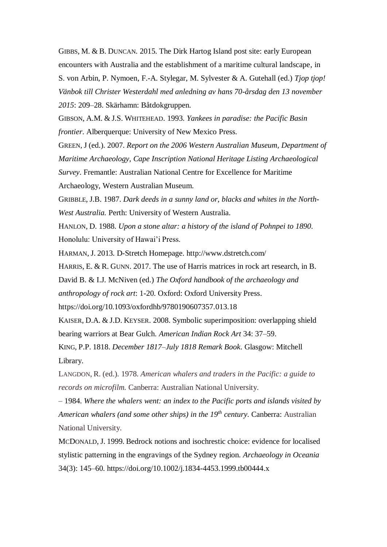GIBBS, M. & B. DUNCAN. 2015. The Dirk Hartog Island post site: early European encounters with Australia and the establishment of a maritime cultural landscape, in S. von Arbin, P. Nymoen, F.-A. Stylegar, M. Sylvester & A. Gutehall (ed.) *Tjop tjop! Vänbok till Christer Westerdahl med anledning av hans 70-årsdag den 13 november 2015*: 209–28. Skärhamn: Båtdokgruppen.

GIBSON, A.M. & J.S. WHITEHEAD. 1993. *Yankees in paradise: the Pacific Basin frontier*. Alberquerque: University of New Mexico Press.

GREEN, J (ed.). 2007. *Report on the 2006 Western Australian Museum, Department of Maritime Archaeology, Cape Inscription National Heritage Listing Archaeological Survey*. Fremantle: Australian National Centre for Excellence for Maritime

Archaeology, Western Australian Museum.

GRIBBLE, J.B. 1987. *Dark deeds in a sunny land or, blacks and whites in the North-West Australia.* Perth: University of Western Australia.

HANLON, D. 1988. *Upon a stone altar: a history of the island of Pohnpei to 1890*. Honolulu: University of Hawai'i Press.

HARMAN, J. 2013. D-Stretch Homepage. http://www.dstretch.com/

HARRIS, E. & R. GUNN. 2017. The use of Harris matrices in rock art research, in B.

David B. & I.J. McNiven (ed.) *The Oxford handbook of the archaeology and* 

*anthropology of rock art*: 1-20. Oxford: Oxford University Press.

https://doi.org/10.1093/oxfordhb/9780190607357.013.18

KAISER, D.A. & J.D. KEYSER. 2008. Symbolic superimposition: overlapping shield bearing warriors at Bear Gulch. *American Indian Rock Art* 34: 37–59.

KING, P.P. 1818. *December 1817–July 1818 Remark Book*. Glasgow: Mitchell Library.

LANGDON, R. (ed.). 1978. *American whalers and traders in the Pacific: a guide to records on microfilm.* Canberra: Australian National University.

– 1984. *Where the whalers went: an index to the Pacific ports and islands visited by American whalers (and some other ships) in the 19th century*. Canberra: Australian National University.

MCDONALD, J. 1999. Bedrock notions and isochrestic choice: evidence for localised stylistic patterning in the engravings of the Sydney region. *Archaeology in Oceania*  34(3): 145–60. https://doi.org/10.1002/j.1834-4453.1999.tb00444.x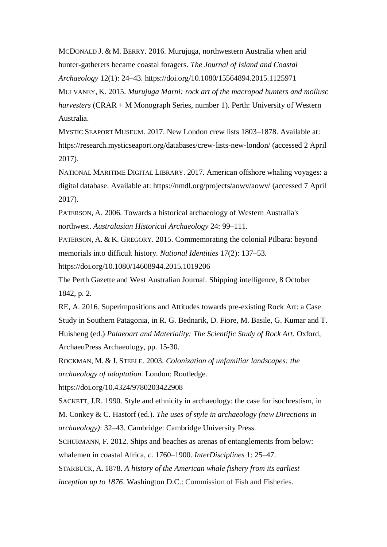MCDONALD J. & M. BERRY. 2016. Murujuga, northwestern Australia when arid hunter-gatherers became coastal foragers. *The Journal of Island and Coastal Archaeology* 12(1): 24–43. https://doi.org/10.1080/15564894.2015.1125971 MULVANEY, K. 2015. *Murujuga Marni: rock art of the macropod hunters and mollusc harvesters* (CRAR + M Monograph Series, number 1). Perth: University of Western Australia.

MYSTIC SEAPORT MUSEUM. 2017. New London crew lists 1803–1878. Available at: https://research.mysticseaport.org/databases/crew-lists-new-london/ (accessed 2 April 2017).

NATIONAL MARITIME DIGITAL LIBRARY. 2017. American offshore whaling voyages: a digital database. Available at: https://nmdl.org/projects/aowv/aowv/ (accessed 7 April 2017).

PATERSON, A. 2006. Towards a historical archaeology of Western Australia's northwest. *Australasian Historical Archaeology* 24: 99–111.

PATERSON, A. & K. GREGORY. 2015. Commemorating the colonial Pilbara: beyond memorials into difficult history. *National Identities* 17(2): 137–53. https://doi.org/10.1080/14608944.2015.1019206

The Perth Gazette and West Australian Journal. Shipping intelligence, 8 October

1842, p. 2.

RE, A. 2016. Superimpositions and Attitudes towards pre-existing Rock Art: a Case Study in Southern Patagonia, in R. G. Bednarik, D. Fiore, M. Basile, G. Kumar and T. Huisheng (ed.) *Palaeoart and Materiality: The Scientific Study of Rock Art*. Oxford, ArchaeoPress Archaeology, pp. 15-30.

ROCKMAN, M. & J. STEELE. 2003. *Colonization of unfamiliar landscapes: the archaeology of adaptation.* London: Routledge.

https://doi.org/10.4324/9780203422908

SACKETT, J.R. 1990. Style and ethnicity in archaeology: the case for isochrestism, in

M. Conkey & C. Hastorf (ed.). *The uses of style in archaeology (new Directions in archaeology)*: 32–43. Cambridge: Cambridge University Press.

SCHÜRMANN, F. 2012. Ships and beaches as arenas of entanglements from below: whalemen in coastal Africa, *c*. 1760–1900. *InterDisciplines* 1: 25–47.

STARBUCK, A. 1878. *A history of the American whale fishery from its earliest inception up to 1876*. Washington D.C.: Commission of Fish and Fisheries.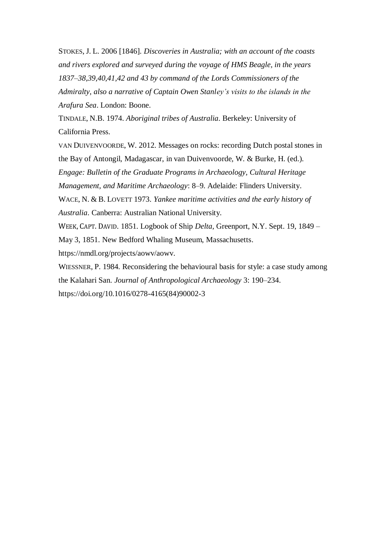STOKES, J. L. 2006 [1846]. *Discoveries in Australia; with an account of the coasts and rivers explored and surveyed during the voyage of HMS Beagle, in the years 1837–38,39,40,41,42 and 43 by command of the Lords Commissioners of the Admiralty, also a narrative of Captain Owen Stanley's visits to the islands in the Arafura Sea*. London: Boone.

TINDALE, N.B. 1974. *Aboriginal tribes of Australia*. Berkeley: University of California Press.

VAN DUIVENVOORDE, W. 2012. Messages on rocks: recording Dutch postal stones in the Bay of Antongil, Madagascar, in van Duivenvoorde, W. & Burke, H. (ed.).

*Engage: Bulletin of the Graduate Programs in Archaeology, Cultural Heritage* 

*Management, and Maritime Archaeology*: 8–9. Adelaide: Flinders University.

WACE, N. & B. LOVETT 1973. *Yankee maritime activities and the early history of Australia*. Canberra: Australian National University.

WEEK, CAPT. DAVID. 1851. Logbook of Ship *Delta,* Greenport, N.Y. Sept. 19, 1849 – May 3, 1851. New Bedford Whaling Museum, Massachusetts. https://nmdl.org/projects/aowv/aowv.

WIESSNER, P. 1984. Reconsidering the behavioural basis for style: a case study among the Kalahari San. *Journal of Anthropological Archaeology* 3: 190–234. https://doi.org/10.1016/0278-4165(84)90002-3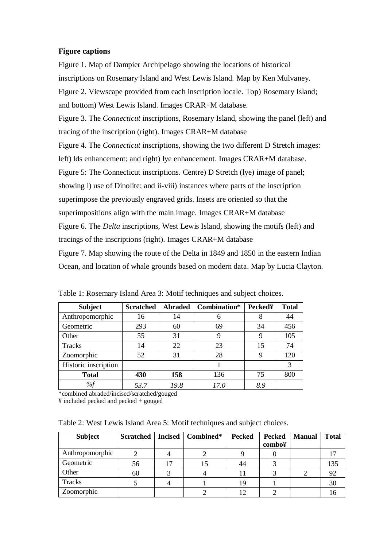# **Figure captions**

Figure 1. Map of Dampier Archipelago showing the locations of historical inscriptions on Rosemary Island and West Lewis Island. Map by Ken Mulvaney. Figure 2. Viewscape provided from each inscription locale. Top) Rosemary Island; and bottom) West Lewis Island. Images CRAR+M database. Figure 3. The *Connecticut* inscriptions, Rosemary Island, showing the panel (left) and tracing of the inscription (right). Images CRAR+M database Figure 4. The *Connecticut* inscriptions, showing the two different D Stretch images: left) lds enhancement; and right) lye enhancement. Images CRAR+M database. Figure 5: The Connecticut inscriptions. Centre) D Stretch (lye) image of panel; showing i) use of Dinolite; and ii-viii) instances where parts of the inscription superimpose the previously engraved grids. Insets are oriented so that the superimpositions align with the main image. Images CRAR+M database Figure 6. The *Delta* inscriptions, West Lewis Island, showing the motifs (left) and tracings of the inscriptions (right). Images CRAR+M database Figure 7. Map showing the route of the Delta in 1849 and 1850 in the eastern Indian Ocean, and location of whale grounds based on modern data. Map by Lucia Clayton.

| <b>Subject</b>       | <b>Scratched</b> | <b>Abraded</b> | Combination* | <b>Pecked¥</b> | <b>Total</b> |
|----------------------|------------------|----------------|--------------|----------------|--------------|
| Anthropomorphic      | 16               | 14             |              |                | 44           |
| Geometric            | 293              | 60             | 69           | 34             | 456          |
| Other                | 55               | 31             | 9            | 9              | 105          |
| Tracks               | 14               | 22             | 23           | 15             | 74           |
| Zoomorphic           | 52               | 31             | 28           | 9              | 120          |
| Historic inscription |                  |                |              |                | 3            |
| <b>Total</b>         | 430              | 158            | 136          | 75             | 800          |
| %f                   | 53.7             | 19.8           | 17.0         | 8.9            |              |

Table 1: Rosemary Island Area 3: Motif techniques and subject choices.

\*combined abraded/incised/scratched/gouged

¥ included pecked and pecked + gouged

Table 2: West Lewis Island Area 5: Motif techniques and subject choices.

| <b>Subject</b>  | <b>Scratched</b> | Incised   Combined* | <b>Pecked</b> | <b>Pecked</b><br>combo¥ | <b>Manual</b> | <b>Total</b> |
|-----------------|------------------|---------------------|---------------|-------------------------|---------------|--------------|
| Anthropomorphic |                  |                     |               |                         |               |              |
| Geometric       | 56               | 15                  | 44            |                         |               | 135          |
| Other           | 60               |                     | 11            |                         |               | 92           |
| Tracks          |                  |                     | 19            |                         |               | 30           |
| Zoomorphic      |                  |                     |               |                         |               |              |